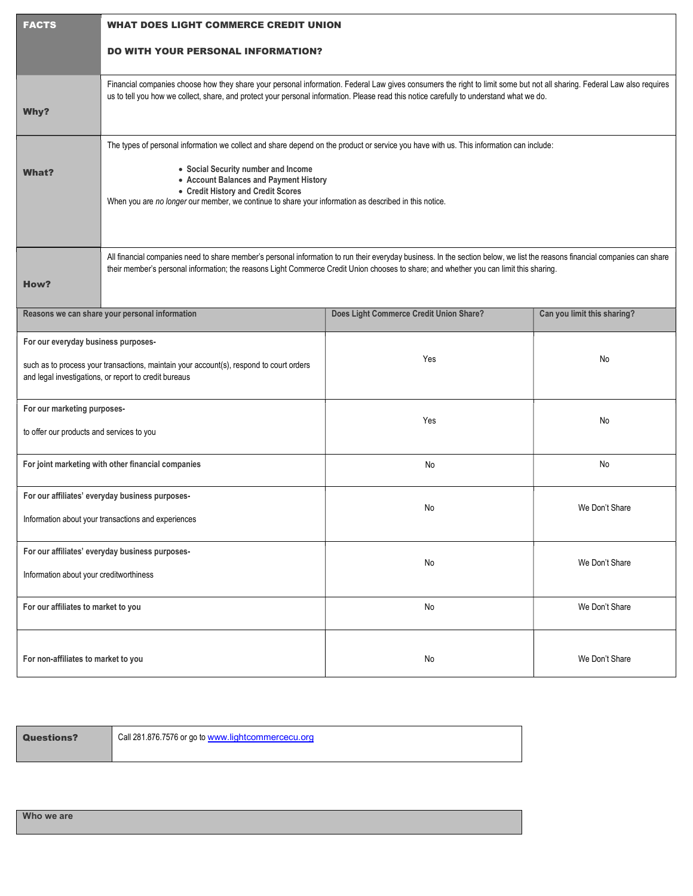| <b>FACTS</b>                                                                                                                                                                            | <b>WHAT DOES LIGHT COMMERCE CREDIT UNION</b>                                                                                                                                                                                                                                                                                                                            |                                         |                             |  |  |
|-----------------------------------------------------------------------------------------------------------------------------------------------------------------------------------------|-------------------------------------------------------------------------------------------------------------------------------------------------------------------------------------------------------------------------------------------------------------------------------------------------------------------------------------------------------------------------|-----------------------------------------|-----------------------------|--|--|
|                                                                                                                                                                                         | <b>DO WITH YOUR PERSONAL INFORMATION?</b>                                                                                                                                                                                                                                                                                                                               |                                         |                             |  |  |
| Why?                                                                                                                                                                                    | Financial companies choose how they share your personal information. Federal Law gives consumers the right to limit some but not all sharing. Federal Law also requires<br>us to tell you how we collect, share, and protect your personal information. Please read this notice carefully to understand what we do.                                                     |                                         |                             |  |  |
| <b>What?</b>                                                                                                                                                                            | The types of personal information we collect and share depend on the product or service you have with us. This information can include:<br>• Social Security number and Income<br>• Account Balances and Payment History<br>• Credit History and Credit Scores<br>When you are no longer our member, we continue to share your information as described in this notice. |                                         |                             |  |  |
| How?                                                                                                                                                                                    | All financial companies need to share member's personal information to run their everyday business. In the section below, we list the reasons financial companies can share<br>their member's personal information; the reasons Light Commerce Credit Union chooses to share; and whether you can limit this sharing.                                                   |                                         |                             |  |  |
| Reasons we can share your personal information                                                                                                                                          |                                                                                                                                                                                                                                                                                                                                                                         | Does Light Commerce Credit Union Share? | Can you limit this sharing? |  |  |
| For our everyday business purposes-<br>such as to process your transactions, maintain your account(s), respond to court orders<br>and legal investigations, or report to credit bureaus |                                                                                                                                                                                                                                                                                                                                                                         | Yes                                     | No                          |  |  |
| For our marketing purposes-<br>to offer our products and services to you                                                                                                                |                                                                                                                                                                                                                                                                                                                                                                         | Yes                                     | No                          |  |  |
| For joint marketing with other financial companies                                                                                                                                      |                                                                                                                                                                                                                                                                                                                                                                         | No                                      | No                          |  |  |
| For our affiliates' everyday business purposes-<br>Information about your transactions and experiences                                                                                  |                                                                                                                                                                                                                                                                                                                                                                         | No                                      | We Don't Share              |  |  |
| For our affiliates' everyday business purposes-<br>Information about your creditworthiness                                                                                              |                                                                                                                                                                                                                                                                                                                                                                         | No                                      | We Don't Share              |  |  |
| For our affiliates to market to you                                                                                                                                                     |                                                                                                                                                                                                                                                                                                                                                                         | No                                      | We Don't Share              |  |  |
| For non-affiliates to market to you                                                                                                                                                     |                                                                                                                                                                                                                                                                                                                                                                         | No                                      | We Don't Share              |  |  |

**Questions?** Call 281.876.7576 or go to www.lightcommercecu.org

Who we are